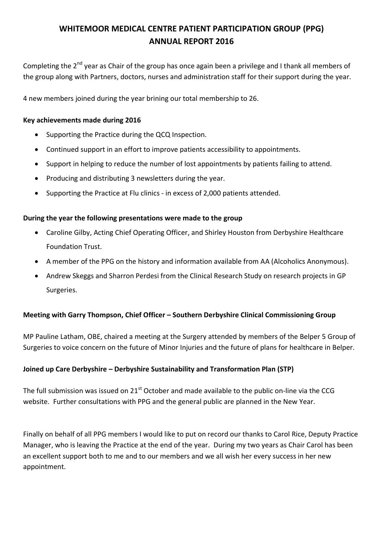# **WHITEMOOR MEDICAL CENTRE PATIENT PARTICIPATION GROUP (PPG) ANNUAL REPORT 2016**

Completing the 2<sup>nd</sup> year as Chair of the group has once again been a privilege and I thank all members of the group along with Partners, doctors, nurses and administration staff for their support during the year.

4 new members joined during the year brining our total membership to 26.

## **Key achievements made during 2016**

- Supporting the Practice during the QCQ Inspection.
- Continued support in an effort to improve patients accessibility to appointments.
- Support in helping to reduce the number of lost appointments by patients failing to attend.
- Producing and distributing 3 newsletters during the year.
- Supporting the Practice at Flu clinics in excess of 2,000 patients attended.

### **During the year the following presentations were made to the group**

- Caroline Gilby, Acting Chief Operating Officer, and Shirley Houston from Derbyshire Healthcare Foundation Trust.
- A member of the PPG on the history and information available from AA (Alcoholics Anonymous).
- Andrew Skeggs and Sharron Perdesi from the Clinical Research Study on research projects in GP Surgeries.

### **Meeting with Garry Thompson, Chief Officer – Southern Derbyshire Clinical Commissioning Group**

MP Pauline Latham, OBE, chaired a meeting at the Surgery attended by members of the Belper 5 Group of Surgeries to voice concern on the future of Minor Injuries and the future of plans for healthcare in Belper.

### **Joined up Care Derbyshire – Derbyshire Sustainability and Transformation Plan (STP)**

The full submission was issued on  $21^{st}$  October and made available to the public on-line via the CCG website. Further consultations with PPG and the general public are planned in the New Year.

Finally on behalf of all PPG members I would like to put on record our thanks to Carol Rice, Deputy Practice Manager, who is leaving the Practice at the end of the year. During my two years as Chair Carol has been an excellent support both to me and to our members and we all wish her every success in her new appointment.